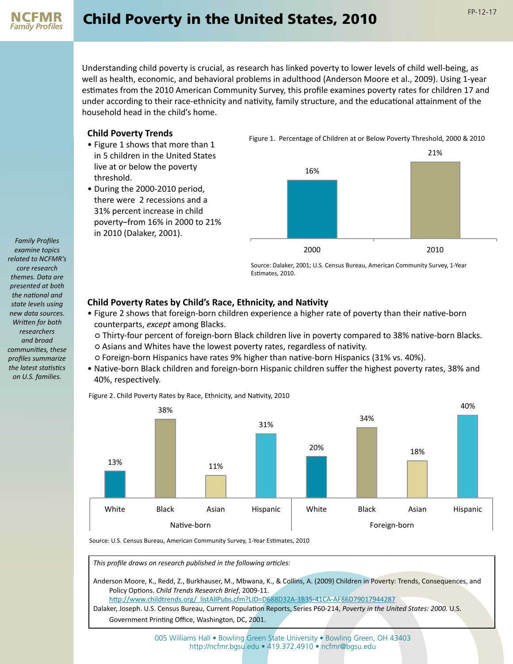

Understanding child poverty is crucial, as research has linked poverty to lower levels of child well-being, as well as health, economic, and behavioral problems in adulthood (Anderson Moore et al., 2009). Using 1-year estimates from the 2010 American Community Survey, this profile examines poverty rates for children 17 and under according to their race-ethnicity and nativity, family structure, and the educational attainment of the household head in the child's home.

## **Child Poverty Trends**

- Figure 1 shows that more than 1 in 5 children in the United States live at or below the poverty threshold.
- During the 2000-2010 period, there were 2 recessions and a 31% percent increase in child poverty–from 16% in 2000 to 21% in 2010 (Dalaker, 2001).

Figure 1. Percentage of Children at or Below Poverty Threshold, 2000 & 2010



Source: Dalaker, 2001; U.S. Census Bureau, American Community Survey, 1-Year Estimates, 2010.

## **Child Poverty Rates by Child's Race, Ethnicity, and Nativity**

• Figure 2 shows that foreign-born children experience a higher rate of poverty than their native-born counterparts, *except* among Blacks.

○ Thirty-four percent of foreign-born Black children live in poverty compared to 38% native-born Blacks. ○ Asians and Whites have the lowest poverty rates, regardless of nativity.

- Foreign-born Hispanics have rates 9% higher than native-born Hispanics (31% vs. 40%).
- Native-born Black children and foreign-born Hispanic children suffer the highest poverty rates, 38% and 40%, respectively.



Figure 2. Child Poverty Rates by Race, Ethnicity, and Nativity, 2010

Source: U.S. Census Bureau, American Community Survey, 1-Year Estimates, 2010

*This profile draws on research published in the following articles:*

Anderson Moore, K., Redd, Z., Burkhauser, M., Mbwana, K., & Collins, A. (2009) Children in Poverty: Trends, Consequences, and Policy Options. *Child Trends Research Brief*, 2009-11. http://www.childtrends.org/\_listAllPubs.cfm?LID=D688D32A-3B35-41CA-AF86D79017944287

Dalaker, Joseph. U.S. Census Bureau, Current Population Reports, Series P60-214, *Poverty in the United States: 2000.* U.S. Government Printing Office, Washington, DC, 2001.

> 005 Williams Hall • Bowling Green State University • Bowling Green, OH 43403 http://ncfmr.bgsu.edu • 419.372.4910 • ncfmr@bgsu.edu

*Family Profiles examine topics related to NCFMR's core research themes. Data are presented at both the national and state levels using new data sources. Written for both researchers and broad communities, these profiles summarize the latest statistics on U.S. families.*